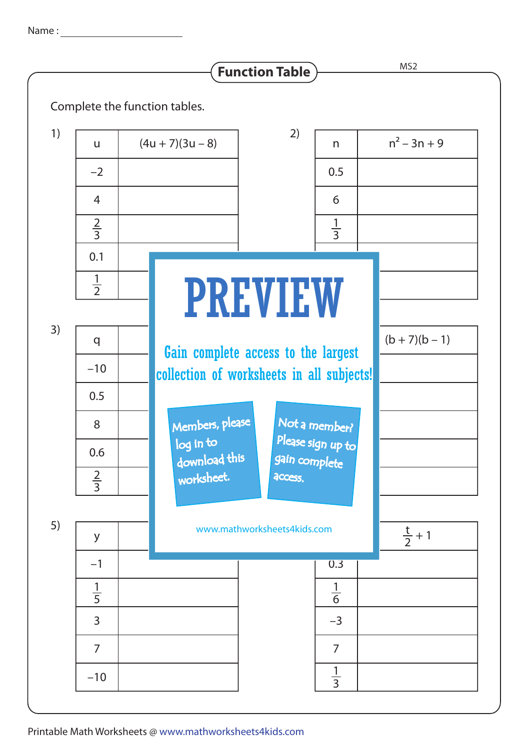